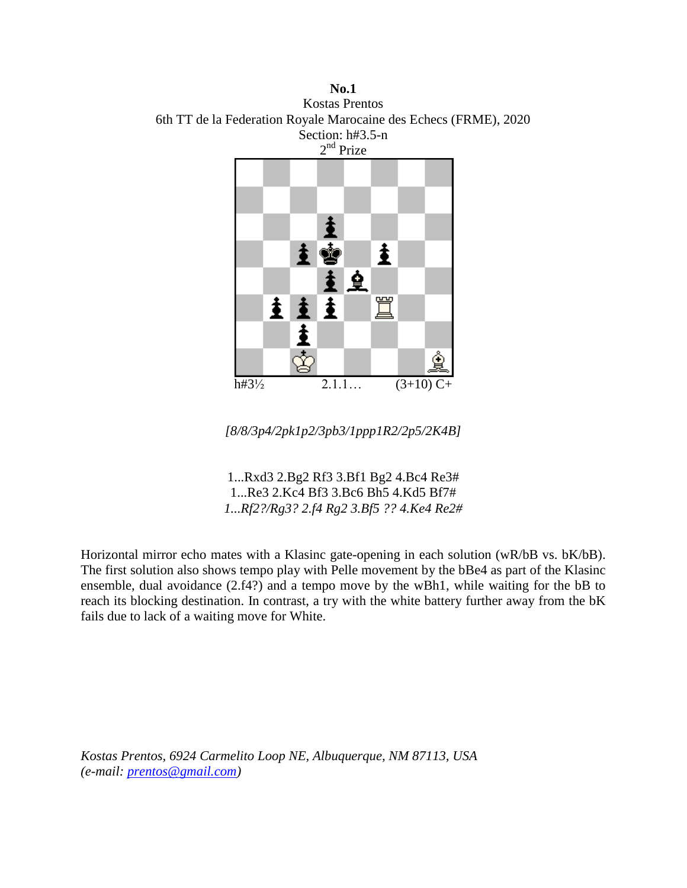**No.1** Kostas Prentos 6th TT de la Federation Royale Marocaine des Echecs (FRME), 2020 Section: h#3.5-n 2<sup>nd</sup> Prize



*[8/8/3p4/2pk1p2/3pb3/1ppp1R2/2p5/2K4B]*

1...Rxd3 2.Bg2 Rf3 3.Bf1 Bg2 4.Bc4 Re3# 1...Re3 2.Kc4 Bf3 3.Bc6 Bh5 4.Kd5 Bf7# *1...Rf2?/Rg3? 2.f4 Rg2 3.Bf5 ?? 4.Ke4 Re2#*

Horizontal mirror echo mates with a Klasinc gate-opening in each solution (wR/bB vs. bK/bB). The first solution also shows tempo play with Pelle movement by the bBe4 as part of the Klasinc ensemble, dual avoidance (2.f4?) and a tempo move by the wBh1, while waiting for the bB to reach its blocking destination. In contrast, a try with the white battery further away from the bK fails due to lack of a waiting move for White.

*Kostas Prentos, 6924 Carmelito Loop NE, Albuquerque, NM 87113, USA (e-mail: [prentos@gmail.com\)](mailto:prentos@gmail.com)*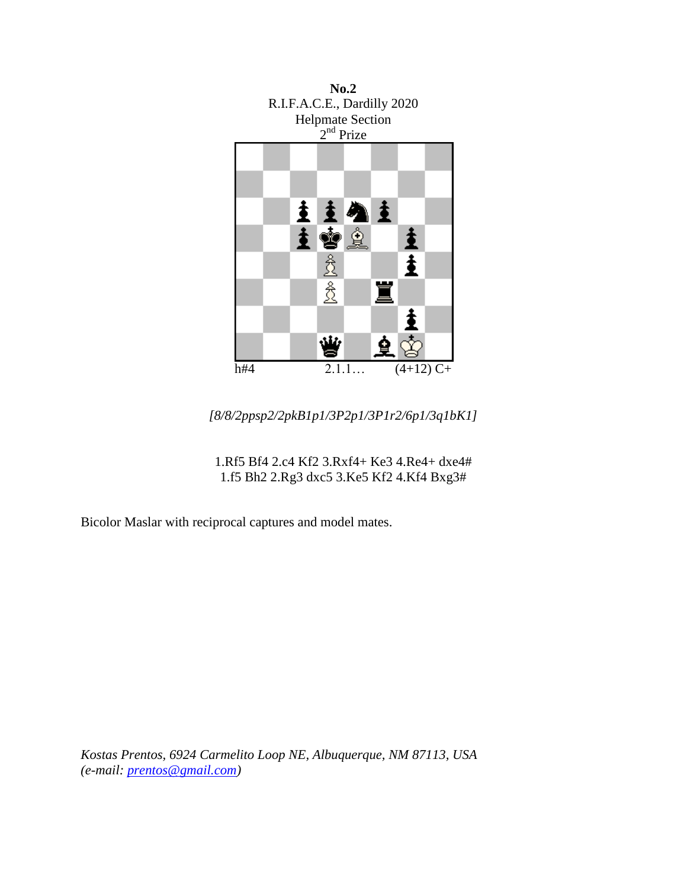

*[8/8/2ppsp2/2pkB1p1/3P2p1/3P1r2/6p1/3q1bK1]*

1.Rf5 Bf4 2.c4 Kf2 3.Rxf4+ Ke3 4.Re4+ dxe4# 1.f5 Bh2 2.Rg3 dxc5 3.Ke5 Kf2 4.Kf4 Bxg3#

Bicolor Maslar with reciprocal captures and model mates.

*Kostas Prentos, 6924 Carmelito Loop NE, Albuquerque, NM 87113, USA (e-mail: [prentos@gmail.com\)](mailto:prentos@gmail.com)*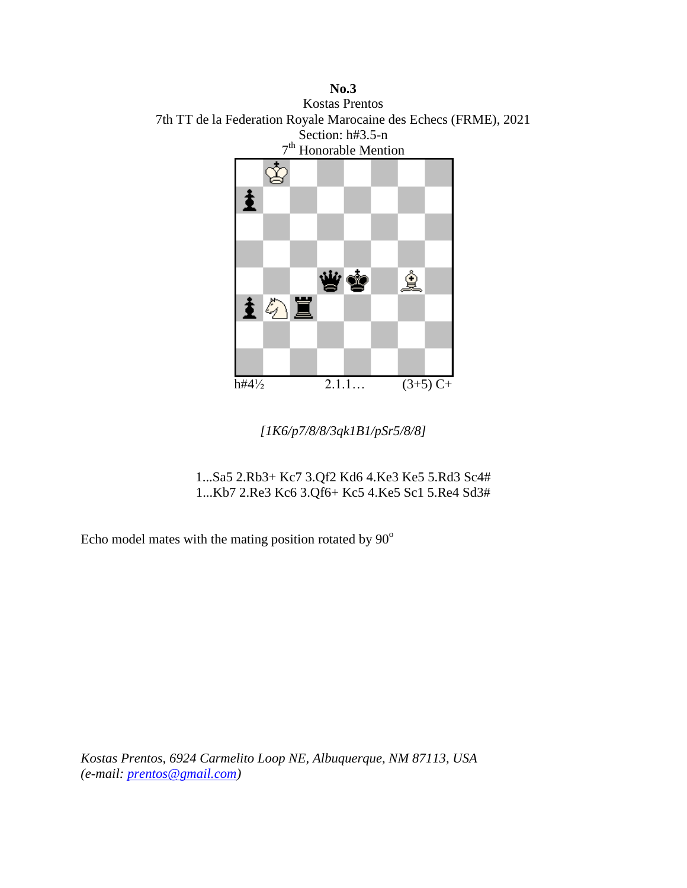**No.3** Kostas Prentos 7th TT de la Federation Royale Marocaine des Echecs (FRME), 2021 Section: h#3.5-n 7<sup>th</sup> Honorable Mention  $\mathbf{\hat{\mathbf{g}}}$ 



*[1K6/p7/8/8/3qk1B1/pSr5/8/8]*

1...Sa5 2.Rb3+ Kc7 3.Qf2 Kd6 4.Ke3 Ke5 5.Rd3 Sc4# 1...Kb7 2.Re3 Kc6 3.Qf6+ Kc5 4.Ke5 Sc1 5.Re4 Sd3#

Echo model mates with the mating position rotated by  $90^\circ$ 

*Kostas Prentos, 6924 Carmelito Loop NE, Albuquerque, NM 87113, USA (e-mail: [prentos@gmail.com\)](mailto:prentos@gmail.com)*